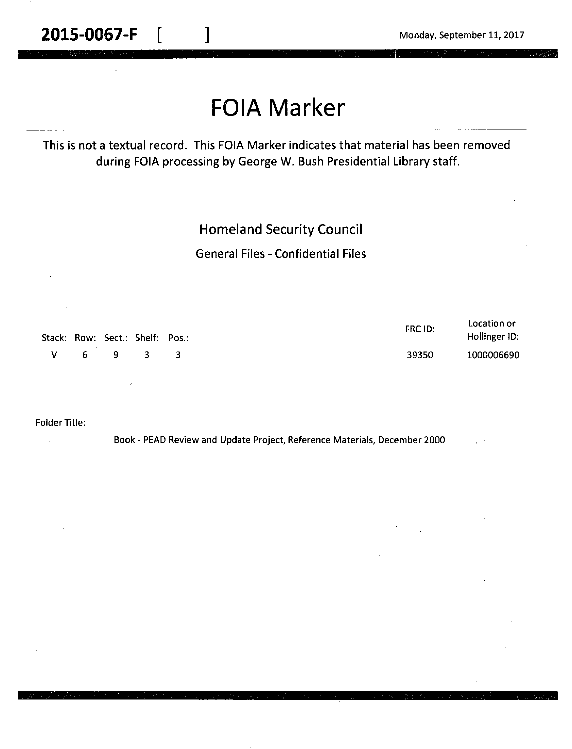# **FOIA Marker**

## This is not a textual record. This FOIA Marker indicates that material has been removed during FOIA processing by George W. Bush Presidential Library staff.

## Homeland Security Council

General Files - Confidential Files

| Stack: Row: Sect.: Shelf: Pos.: |    |             | FRC ID: | Location or<br>Hollinger ID: |
|---------------------------------|----|-------------|---------|------------------------------|
| <b>No. 1999</b>                 | 69 | $3 \quad 3$ | 39350   | 1000006690                   |

#### Folder Title:

Book - PEAD Review and Update Project, Reference Materials, December 2000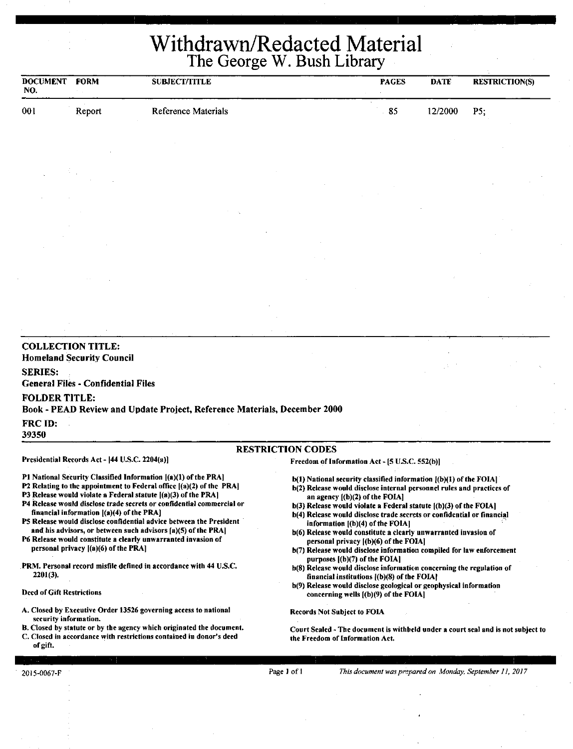Withdrawn/Redacted Material The George W. Bush Library

| DOCUMENT FORM<br>NO. |        | <b>SUBJECT/TITLE</b>       | <b>PAGES</b> | <b>DATE</b> | <b>RESTRICTION(S)</b> |
|----------------------|--------|----------------------------|--------------|-------------|-----------------------|
| 001                  | Report | <b>Reference Materials</b> | 85           | 12/2000     | PS:                   |
|                      |        |                            |              |             |                       |

### Homeland Security Council SERIES: General Files - Confidential Files FOLDER TITLE: Book - PEAD Review and Update Project, Reference Materials, December 2000

FRCID:

COLLECTION TITLE:

39350

#### RESTRICTION CODES

Pl National Security Classified Information ((a)(l) of the PRAJ

Presidential Records Act - 144 U.S.C. 2204(a)]

- P2 Relating to the appointment to Federal office ((a)(2) of the PRA)
- P3 Release would violate a Federal statute  $[(a)(3)$  of the PRA]
- P4 Release would disclose trade secrets or confidential commercial or financial information  $[(a)(4)$  of the PRA]
- PS Release would disclose confidential advice between the President and his advisors, or between such advisors [a)(S) of the PRA)

P6 Release would constitute a clearly unwarranted invasion of personal privacy ((a)(6) of the PRA]

PRM. Personal record misfile defined in accordance with 44 U.S.C. 2201(3).

#### Deed of Gift Restrictions

- A. Closed by Executive Order 13S26 governing access to national security information.
- B. Closed by statute or by the agency which originated the document.

C. Closed in accordance with restrictions contained in donor's deed of gift.

Freedom of Information Act - [5 U.S.C. 552(b)]

- b(I) National security classified information ((b)(I) of the FOIA)
- b(2) Release would disclose internal personnel rules and practices of an agency  $[(b)(2)$  of the FOIA]
- b(3) Release would violate a Federal statute ((b)(3) of the FOIA)
- b(4) Release would disclose trade secrets or confidential or financial information  $[(b)(4)$  of the FOIA]
- b(6) Release would constitute a clearly unwarranted invasion of personal privacy [(b)(6) of the FOIA]
- b(7) Release would disclose information compiled for law enforcement purposes ](b)(7) of the FOIAI
- b(8) Release would disclose information concerning the regulation of financial institutions ((b)(S) of the FOIAJ
- b(9) Release would disclose geological or geophysical information concerning wells ((b)(9) of the FOIA)

Records Not Subject to FOIA

Court Sealed~ The document is withbeld under a court seal and is not subject to the Freedom of Information Act.

Page 1 of 1 *This document was prepared on Monday, September 11, 2017*